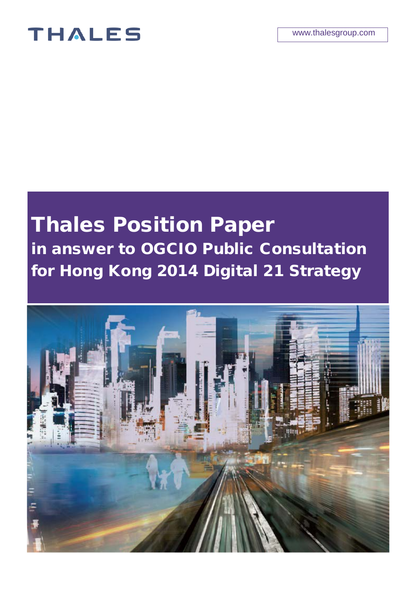## **THALES**

# Thales Position Paper in answer to OGCIO Public Consultation for Hong Kong 2014 Digital 21 Strategy

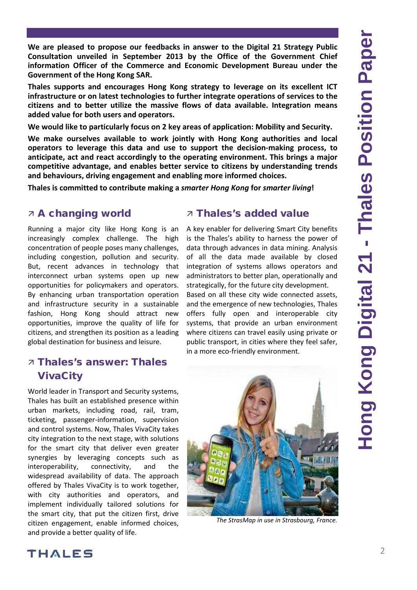**We are pleased to propose our feedbacks in answer to the Digital 21 Strategy Public Consultation unveiled in September 2013 by the Office of the Government Chief information Officer of the Commerce and Economic Development Bureau under the Government of the Hong Kong SAR.**

**Thales supports and encourages Hong Kong strategy to leverage on its excellent ICT infrastructure or on latest technologies to further integrate operations of services to the citizens and to better utilize the massive flows of data available. Integration means added value for both users and operators.** 

**We would like to particularly focus on 2 key areas of application: Mobility and Security.**

**We make ourselves available to work jointly with Hong Kong authorities and local operators to leverage this data and use to support the decision-making process, to anticipate, act and react accordingly to the operating environment. This brings a major competitive advantage, and enables better service to citizens by understanding trends and behaviours, driving engagement and enabling more informed choices.**

**Thales is committed to contribute making a** *smarter Hong Kong* **for** *smarter living***!** 

## A changing world

Running a major city like Hong Kong is an increasingly complex challenge. The high concentration of people poses many challenges, including congestion, pollution and security. But, recent advances in technology that interconnect urban systems open up new opportunities for policymakers and operators. By enhancing urban transportation operation and infrastructure security in a sustainable fashion, Hong Kong should attract new opportunities, improve the quality of life for citizens, and strengthen its position as a leading global destination for business and leisure.

## Thales's answer: Thales VivaCity

World leader in Transport and Security systems, Thales has built an established presence within urban markets, including road, rail, tram, ticketing, passenger-information, supervision and control systems. Now, Thales VivaCity takes city integration to the next stage, with solutions for the smart city that deliver even greater synergies by leveraging concepts such as interoperability, connectivity, and the widespread availability of data. The approach offered by Thales VivaCity is to work together, with city authorities and operators, and implement individually tailored solutions for the smart city, that put the citizen first, drive citizen engagement, enable informed choices, and provide a better quality of life.

## Thales's added value

A key enabler for delivering Smart City benefits is the Thales's ability to harness the power of data through advances in data mining. Analysis of all the data made available by closed integration of systems allows operators and administrators to better plan, operationally and strategically, for the future city development.

Based on all these city wide connected assets, and the emergence of new technologies, Thales offers fully open and interoperable city systems, that provide an urban environment where citizens can travel easily using private or public transport, in cities where they feel safer, in a more eco-friendly environment.



*The StrasMap in use in Strasbourg, France.*

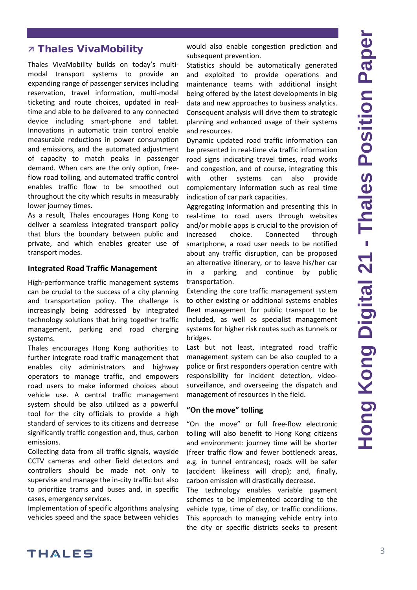## **7 Thales VivaMobility**

Thales VivaMobility builds on today's multimodal transport systems to provide an expanding range of passenger services including reservation, travel information, multi-modal ticketing and route choices, updated in realtime and able to be delivered to any connected device including smart-phone and tablet. Innovations in automatic train control enable measurable reductions in power consumption and emissions, and the automated adjustment of capacity to match peaks in passenger demand. When cars are the only option, freeflow road tolling, and automated traffic control enables traffic flow to be smoothed out throughout the city which results in measurably lower journey times.

As a result, Thales encourages Hong Kong to deliver a seamless integrated transport policy that blurs the boundary between public and private, and which enables greater use of transport modes.

#### **Integrated Road Traffic Management**

High-performance traffic management systems can be crucial to the success of a city planning and transportation policy. The challenge is increasingly being addressed by integrated technology solutions that bring together traffic management, parking and road charging systems.

Thales encourages Hong Kong authorities to further integrate road traffic management that enables city administrators and highway operators to manage traffic, and empowers road users to make informed choices about vehicle use. A central traffic management system should be also utilized as a powerful tool for the city officials to provide a high standard of services to its citizens and decrease significantly traffic congestion and, thus, carbon emissions.

Collecting data from all traffic signals, wayside CCTV cameras and other field detectors and controllers should be made not only to supervise and manage the in-city traffic but also to prioritize trams and buses and, in specific cases, emergency services.

Implementation of specific algorithms analysing vehicles speed and the space between vehicles would also enable congestion prediction and subsequent prevention.

Statistics should be automatically generated and exploited to provide operations and maintenance teams with additional insight being offered by the latest developments in big data and new approaches to business analytics. Consequent analysis will drive them to strategic planning and enhanced usage of their systems and resources.

Dynamic updated road traffic information can be presented in real-time via traffic information road signs indicating travel times, road works and congestion, and of course, integrating this with other systems can also provide complementary information such as real time indication of car park capacities.

Aggregating information and presenting this in real-time to road users through websites and/or mobile apps is crucial to the provision of increased choice. Connected through smartphone, a road user needs to be notified about any traffic disruption, can be proposed an alternative itinerary, or to leave his/her car in a parking and continue by public transportation.

Extending the core traffic management system to other existing or additional systems enables fleet management for public transport to be included, as well as specialist management systems for higher risk routes such as tunnels or bridges.

Last but not least, integrated road traffic management system can be also coupled to a police or first responders operation centre with responsibility for incident detection, videosurveillance, and overseeing the dispatch and management of resources in the field.

#### **"On the move" tolling**

"On the move" or full free-flow electronic tolling will also benefit to Hong Kong citizens and environment: journey time will be shorter (freer traffic flow and fewer bottleneck areas, e.g. in tunnel entrances); roads will be safer (accident likeliness will drop); and, finally, carbon emission will drastically decrease.

The technology enables variable payment schemes to be implemented according to the vehicle type, time of day, or traffic conditions. This approach to managing vehicle entry into the city or specific districts seeks to present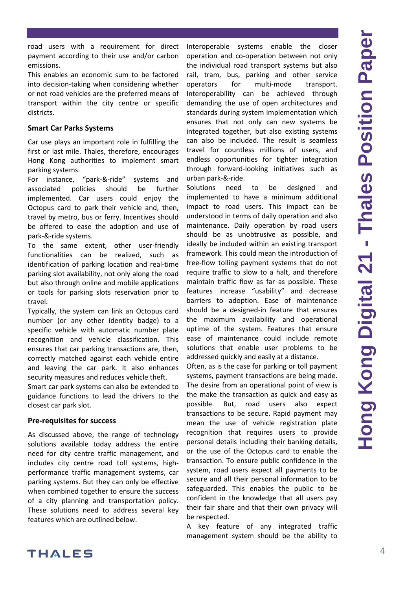road users with a requirement for direct payment according to their use and/or carbon emissions.

This enables an economic sum to be factored into decision-taking when considering whether or not road vehicles are the preferred means of transport within the city centre or specific districts.

#### **Smart Car Parks Systems**

Car use plays an important role in fulfilling the first or last mile. Thales, therefore, encourages Hong Kong authorities to implement smart parking systems.

For instance, "park-&-ride" systems and associated policies should be further implemented. Car users could enjoy the Octopus card to park their vehicle and, then, travel by metro, bus or ferry. Incentives should be offered to ease the adoption and use of park-&-ride systems.

To the same extent, other user-friendly functionalities can be realized, such as identification of parking location and real-time parking slot availability, not only along the road but also through online and mobile applications or tools for parking slots reservation prior to travel.

Typically, the system can link an Octopus card number (or any other identity badge) to a specific vehicle with automatic number plate recognition and vehicle classification. This ensures that car parking transactions are, then, correctly matched against each vehicle entire and leaving the car park. It also enhances security measures and reduces vehicle theft.

Smart car park systems can also be extended to guidance functions to lead the drivers to the closest car park slot.

#### **Pre-requisites for success**

As discussed above, the range of technology solutions available today address the entire need for city centre traffic management, and includes city centre road toll systems, highperformance traffic management systems, car parking systems. But they can only be effective when combined together to ensure the success of a city planning and transportation policy. These solutions need to address several key features which are outlined below.

Interoperable systems enable the closer operation and co-operation between not only the individual road transport systems but also rail, tram, bus, parking and other service operators for multi-mode transport. Interoperability can be achieved through demanding the use of open architectures and standards during system implementation which ensures that not only can new systems be integrated together, but also existing systems can also be included. The result is seamless travel for countless millions of users, and endless opportunities for tighter integration through forward-looking initiatives such as urban park-&-ride.

Solutions need to be designed and implemented to have a minimum additional impact to road users. This impact can be understood in terms of daily operation and also maintenance. Daily operation by road users should be as unobtrusive as possible, and ideally be included within an existing transport framework. This could mean the introduction of free-flow tolling payment systems that do not require traffic to slow to a halt, and therefore maintain traffic flow as far as possible. These features increase "usability" and decrease barriers to adoption. Ease of maintenance should be a designed-in feature that ensures the maximum availability and operational uptime of the system. Features that ensure ease of maintenance could include remote solutions that enable user problems to be addressed quickly and easily at a distance.

Often, as is the case for parking or toll payment systems, payment transactions are being made. The desire from an operational point of view is the make the transaction as quick and easy as possible. But, road users also expect transactions to be secure. Rapid payment may mean the use of vehicle registration plate recognition that requires users to provide personal details including their banking details, or the use of the Octopus card to enable the transaction. To ensure public confidence in the system, road users expect all payments to be secure and all their personal information to be safeguarded. This enables the public to be confident in the knowledge that all users pay their fair share and that their own privacy will be respected.

A key feature of any integrated traffic management system should be the ability to

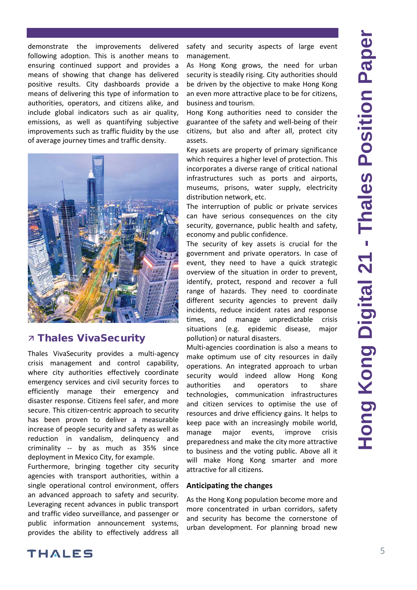demonstrate the improvements delivered following adoption. This is another means to ensuring continued support and provides a means of showing that change has delivered positive results. City dashboards provide a means of delivering this type of information to authorities, operators, and citizens alike, and include global indicators such as air quality, emissions, as well as quantifying subjective improvements such as traffic fluidity by the use of average journey times and traffic density.



## **7 Thales VivaSecurity**

Thales VivaSecurity provides a multi-agency crisis management and control capability, where city authorities effectively coordinate emergency services and civil security forces to efficiently manage their emergency and disaster response. Citizens feel safer, and more secure. This citizen-centric approach to security has been proven to deliver a measurable increase of people security and safety as well as reduction in vandalism, delinquency and criminality -- by as much as 35% since deployment in Mexico City, for example.

Furthermore, bringing together city security agencies with transport authorities, within a single operational control environment, offers an advanced approach to safety and security. Leveraging recent advances in public transport and traffic video surveillance, and passenger or public information announcement systems, provides the ability to effectively address all

safety and security aspects of large event management.

As Hong Kong grows, the need for urban security is steadily rising. City authorities should be driven by the objective to make Hong Kong an even more attractive place to be for citizens, business and tourism.

Hong Kong authorities need to consider the guarantee of the safety and well-being of their citizens, but also and after all, protect city assets.

Key assets are property of primary significance which requires a higher level of protection. This incorporates a diverse range of critical national infrastructures such as ports and airports, museums, prisons, water supply, electricity distribution network, etc.

The interruption of public or private services can have serious consequences on the city security, governance, public health and safety, economy and public confidence.

The security of key assets is crucial for the government and private operators. In case of event, they need to have a quick strategic overview of the situation in order to prevent, identify, protect, respond and recover a full range of hazards. They need to coordinate different security agencies to prevent daily incidents, reduce incident rates and response times, and manage unpredictable crisis situations (e.g. epidemic disease, major pollution) or natural disasters.

Multi-agencies coordination is also a means to make optimum use of city resources in daily operations. An integrated approach to urban security would indeed allow Hong Kong authorities and operators to share technologies, communication infrastructures and citizen services to optimise the use of resources and drive efficiency gains. It helps to keep pace with an increasingly mobile world, manage major events, improve crisis preparedness and make the city more attractive to business and the voting public. Above all it will make Hong Kong smarter and more attractive for all citizens.

#### **Anticipating the changes**

As the Hong Kong population become more and more concentrated in urban corridors, safety and security has become the cornerstone of urban development. For planning broad new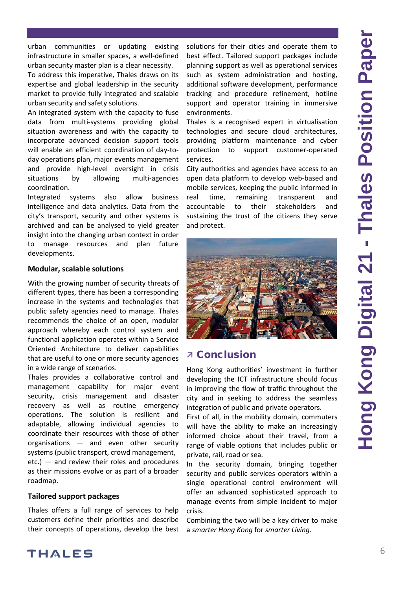urban communities or updating existing infrastructure in smaller spaces, a well-defined urban security master plan is a clear necessity.

To address this imperative, Thales draws on its expertise and global leadership in the security market to provide fully integrated and scalable urban security and safety solutions.

An integrated system with the capacity to fuse data from multi-systems providing global situation awareness and with the capacity to incorporate advanced decision support tools will enable an efficient coordination of day-today operations plan, major events management and provide high-level oversight in crisis situations by allowing multi-agencies coordination.

Integrated systems also allow business intelligence and data analytics. Data from the city's transport, security and other systems is archived and can be analysed to yield greater insight into the changing urban context in order to manage resources and plan future developments.

#### **Modular, scalable solutions**

With the growing number of security threats of different types, there has been a corresponding increase in the systems and technologies that public safety agencies need to manage. Thales recommends the choice of an open, modular approach whereby each control system and functional application operates within a Service Oriented Architecture to deliver capabilities that are useful to one or more security agencies in a wide range of scenarios.

Thales provides a collaborative control and management capability for major event security, crisis management and disaster recovery as well as routine emergency operations. The solution is resilient and adaptable, allowing individual agencies to coordinate their resources with those of other organisations — and even other security systems (public transport, crowd management, etc.) — and review their roles and procedures as their missions evolve or as part of a broader roadmap.

#### **Tailored support packages**

Thales offers a full range of services to help customers define their priorities and describe their concepts of operations, develop the best solutions for their cities and operate them to best effect. Tailored support packages include planning support as well as operational services such as system administration and hosting, additional software development, performance tracking and procedure refinement, hotline support and operator training in immersive environments.

Thales is a recognised expert in virtualisation technologies and secure cloud architectures, providing platform maintenance and cyber protection to support customer-operated services.

City authorities and agencies have access to an open data platform to develop web-based and mobile services, keeping the public informed in real time, remaining transparent and accountable to their stakeholders and sustaining the trust of the citizens they serve and protect.



### Conclusion

Hong Kong authorities' investment in further developing the ICT infrastructure should focus in improving the flow of traffic throughout the city and in seeking to address the seamless integration of public and private operators.

First of all, in the mobility domain, commuters will have the ability to make an increasingly informed choice about their travel, from a range of viable options that includes public or private, rail, road or sea.

In the security domain, bringing together security and public services operators within a single operational control environment will offer an advanced sophisticated approach to manage events from simple incident to major crisis.

Combining the two will be a key driver to make a *smarter Hong Kong* for *smarter Living*.

**THALES**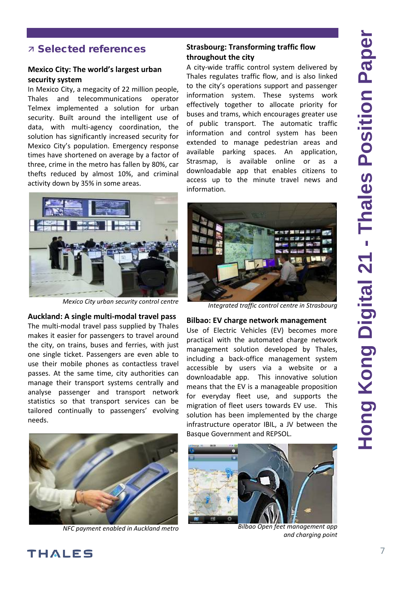## Selected references

### **Mexico City: The world's largest urban security system**

In Mexico City, a megacity of 22 million people, Thales and telecommunications operator Telmex implemented a solution for urban security. Built around the intelligent use of data, with multi-agency coordination, the solution has significantly increased security for Mexico City's population. Emergency response times have shortened on average by a factor of three, crime in the metro has fallen by 80%, car thefts reduced by almost 10%, and criminal activity down by 35% in some areas.



*Mexico City urban security control centre* 

#### **Auckland: A single multi-modal travel pass**

The multi-modal travel pass supplied by Thales makes it easier for passengers to travel around the city, on trains, buses and ferries, with just one single ticket. Passengers are even able to use their mobile phones as contactless travel passes. At the same time, city authorities can manage their transport systems centrally and analyse passenger and transport network statistics so that transport services can be tailored continually to passengers' evolving needs.



*NFC payment enabled in Auckland metro*

#### **Strasbourg: Transforming traffic flow throughout the city**

A city-wide traffic control system delivered by Thales regulates traffic flow, and is also linked to the city's operations support and passenger information system. These systems work effectively together to allocate priority for buses and trams, which encourages greater use of public transport. The automatic traffic information and control system has been extended to manage pedestrian areas and available parking spaces. An application, Strasmap, is available online or as a downloadable app that enables citizens to access up to the minute travel news and information.



*Integrated traffic control centre in Strasbourg* 

#### **Bilbao: EV charge network management**

Use of Electric Vehicles (EV) becomes more practical with the automated charge network management solution developed by Thales, including a back-office management system accessible by users via a website or a downloadable app. This innovative solution means that the EV is a manageable proposition for everyday fleet use, and supports the migration of fleet users towards EV use. This solution has been implemented by the charge infrastructure operator IBIL, a JV between the Basque Government and REPSOL.



*Bilbao Open feet management app and charging point*